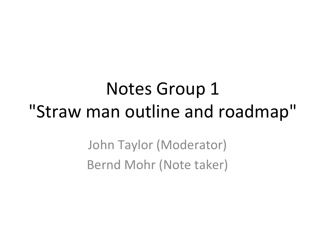#### Notes Group 1 "Straw man outline and roadmap"

John Taylor (Moderator) Bernd Mohr (Note taker)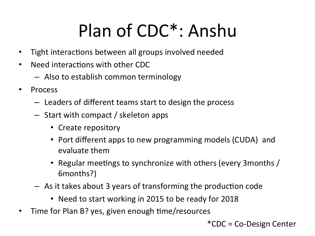## Plan of CDC<sup>\*</sup>: Anshu

- Tight interactions between all groups involved needed
- Need interactions with other CDC
	- $-$  Also to establish common terminology
- Process
	- $-$  Leaders of different teams start to design the process
	- $-$  Start with compact / skeleton apps
		- Create repository
		- Port different apps to new programming models (CUDA) and evaluate them
		- Regular meetings to synchronize with others (every 3months / 6months?)&
	- $-$  As it takes about 3 years of transforming the production code
		- Need to start working in 2015 to be ready for 2018
- Time for Plan B? yes, given enough time/resources

 $^*$ CDC = Co-Design Center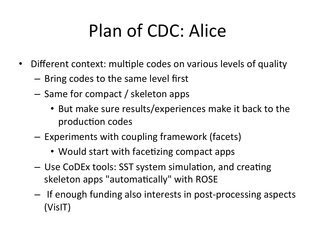# Plan of CDC: Alice

- Different context: multiple codes on various levels of quality
	- $-$  Bring codes to the same level first
	- $-$  Same for compact / skeleton apps
		- But make sure results/experiences make it back to the production codes
	- $-$  Experiments with coupling framework (facets)
		- Would start with facetizing compact apps
	- Use CoDEx tools: SST system simulation, and creating skeleton apps "automatically" with ROSE
	- $-$  If enough funding also interests in post-processing aspects (VisIT)&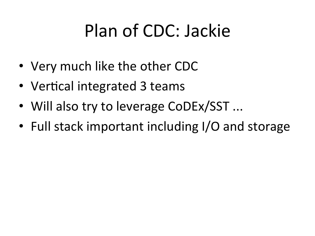## Plan of CDC: Jackie

- Very much like the other CDC
- Vertical integrated 3 teams
- Will also try to leverage CoDEx/SST ...
- Full stack important including I/O and storage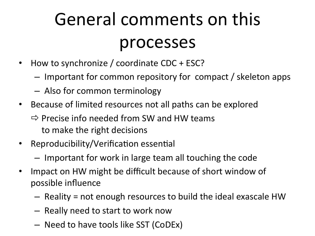## General comments on this processes

- How to synchronize / coordinate  $CDC + ESC$ ?
	- $-$  Important for common repository for compact / skeleton apps
	- $-$  Also for common terminology
- Because of limited resources not all paths can be explored
	- $\Rightarrow$  Precise info needed from SW and HW teams to make the right decisions
- Reproducibility/Verification essential
	- $-$  Important for work in large team all touching the code
- Impact on HW might be difficult because of short window of possible influence
	- $-$  Reality = not enough resources to build the ideal exascale HW
	- $-$  Really need to start to work now
	- Need to have tools like SST (CoDEx)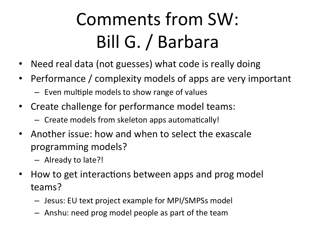# Comments from SW: Bill G. / Barbara

- Need real data (not guesses) what code is really doing
- Performance / complexity models of apps are very important
	- $-$  Even multiple models to show range of values
- Create challenge for performance model teams:
	- $-$  Create models from skeleton apps automatically!
- Another issue: how and when to select the exascale programming models?
	- $-$  Already to late?!
- How to get interactions between apps and prog model teams?
	- $-$  Jesus: EU text project example for MPI/SMPSs model
	- $-$  Anshu: need prog model people as part of the team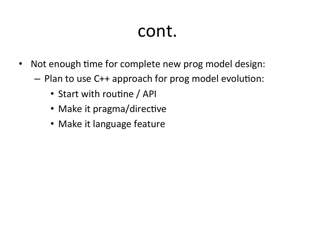#### cont.

- Not enough time for complete new prog model design:
	- $-$  Plan to use C++ approach for prog model evolution:
		- Start with routine / API
		- Make it pragma/directive
		- Make it language feature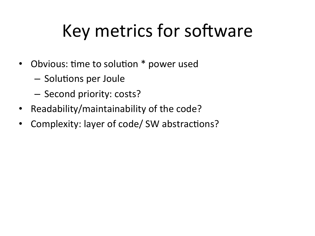### Key metrics for software

- Obvious: time to solution \* power used
	- Solutions per Joule
	- Second priority: costs?
- Readability/maintainability of the code?
- Complexity: layer of code/ SW abstractions?